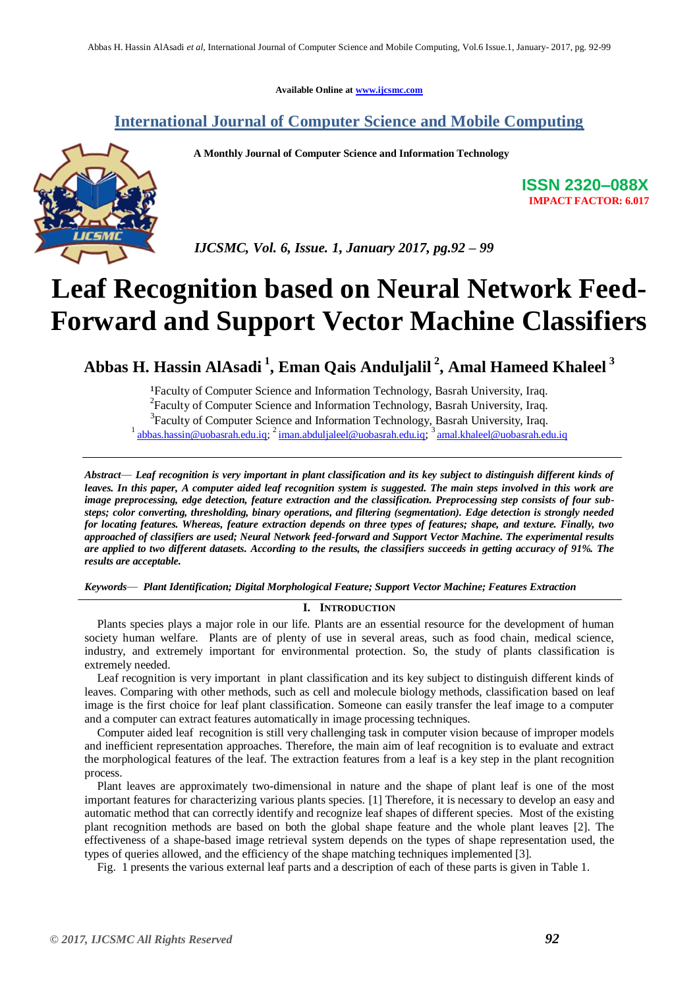**Available Online at [www.ijcsmc.com](http://www.ijcsmc.com/)**

## **International Journal of Computer Science and Mobile Computing**

 **A Monthly Journal of Computer Science and Information Technology**



**ISSN 2320–088X IMPACT FACTOR: 6.017**

 *IJCSMC, Vol. 6, Issue. 1, January 2017, pg.92 – 99*

# **Leaf Recognition based on Neural Network Feed-Forward and Support Vector Machine Classifiers**

**Abbas H. Hassin AlAsadi <sup>1</sup> , Eman Qais Anduljalil <sup>2</sup> , Amal Hameed Khaleel <sup>3</sup>**

<sup>1</sup>Faculty of Computer Science and Information Technology, Basrah University, Iraq. 2 Faculty of Computer Science and Information Technology, Basrah University, Iraq*.*  3 Faculty of Computer Science and Information Technology, Basrah University, Iraq*.* <sup>1</sup> [abbas.hassin@uobasrah.edu.iq;](mailto:abbas.hassin@uobasrah.edu.iq) <sup>2</sup> [iman.abduljaleel@uobasrah.edu.iq](mailto:iman.abduljaleel@uobasrah.edu.iq); <sup>3</sup> [amal.khaleel@uobasrah.edu.iq](mailto:amal.khaleel@uobasrah.edu.iq)

*Abstract— Leaf recognition is very important in plant classification and its key subject to distinguish different kinds of leaves. In this paper, A computer aided leaf recognition system is suggested. The main steps involved in this work are image preprocessing, edge detection, feature extraction and the classification. Preprocessing step consists of four substeps; color converting, thresholding, binary operations, and filtering (segmentation). Edge detection is strongly needed for locating features. Whereas, feature extraction depends on three types of features; shape, and texture. Finally, two approached of classifiers are used; Neural Network feed-forward and Support Vector Machine. The experimental results are applied to two different datasets. According to the results, the classifiers succeeds in getting accuracy of 91%. The results are acceptable.*

*Keywords— Plant Identification; Digital Morphological Feature; Support Vector Machine; Features Extraction*

## **I. INTRODUCTION**

Plants species plays a major role in our life. Plants are an essential resource for the development of human society human welfare. Plants are of plenty of use in several areas, such as food chain, medical science, industry, and extremely important for environmental protection. So, the study of plants classification is extremely needed.

Leaf recognition is very important in plant classification and its key subject to distinguish different kinds of leaves. Comparing with other methods, such as cell and molecule biology methods, classification based on leaf image is the first choice for leaf plant classification. Someone can easily transfer the leaf image to a computer and a computer can extract features automatically in image processing techniques.

Computer aided leaf recognition is still very challenging task in computer vision because of improper models and inefficient representation approaches. Therefore, the main aim of leaf recognition is to evaluate and extract the morphological features of the leaf. The extraction features from a leaf is a key step in the plant recognition process.

Plant leaves are approximately two-dimensional in nature and the shape of plant leaf is one of the most important features for characterizing various plants species. [1] Therefore, it is necessary to develop an easy and automatic method that can correctly identify and recognize leaf shapes of different species. Most of the existing plant recognition methods are based on both the global shape feature and the whole plant leaves [2]. The effectiveness of a shape-based image retrieval system depends on the types of shape representation used, the types of queries allowed, and the efficiency of the shape matching techniques implemented [3].

Fig. 1 presents the various external leaf parts and a description of each of these parts is given in Table 1.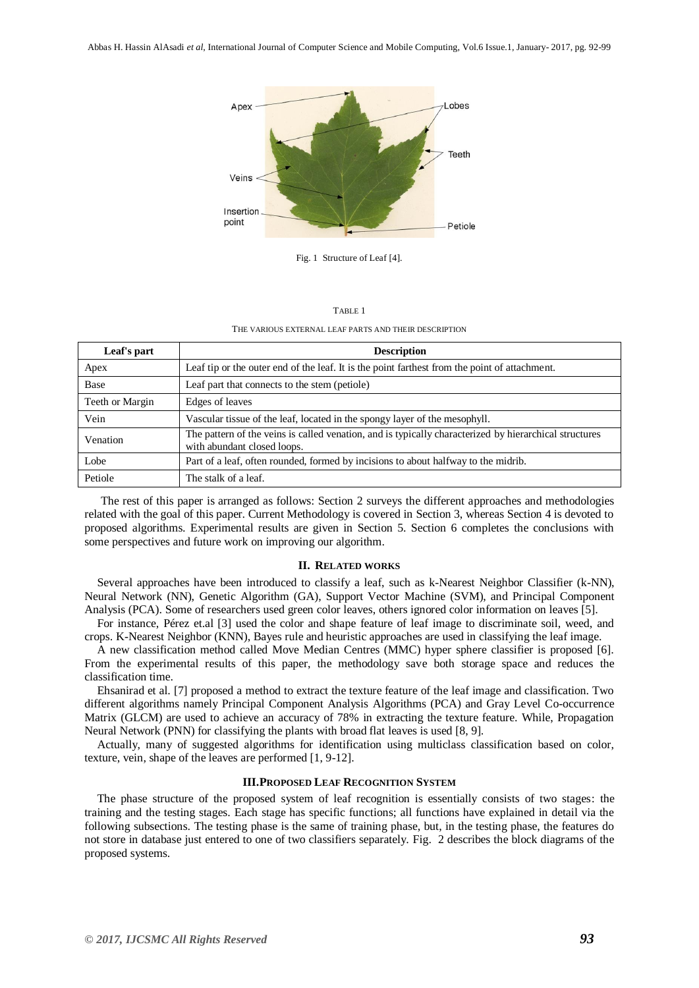

Fig. 1 Structure of Leaf [4].

#### TABLE 1

THE VARIOUS EXTERNAL LEAF PARTS AND THEIR DESCRIPTION

| Leaf's part     | <b>Description</b>                                                                                                                    |  |
|-----------------|---------------------------------------------------------------------------------------------------------------------------------------|--|
| Apex            | Leaf tip or the outer end of the leaf. It is the point farthest from the point of attachment.                                         |  |
| <b>Base</b>     | Leaf part that connects to the stem (petiole)                                                                                         |  |
| Teeth or Margin | Edges of leaves                                                                                                                       |  |
| Vein            | Vascular tissue of the leaf, located in the spongy layer of the mesophyll.                                                            |  |
| Venation        | The pattern of the veins is called venation, and is typically characterized by hierarchical structures<br>with abundant closed loops. |  |
| Lobe            | Part of a leaf, often rounded, formed by incisions to about halfway to the midrib.                                                    |  |
| Petiole         | The stalk of a leaf.                                                                                                                  |  |

The rest of this paper is arranged as follows: Section 2 surveys the different approaches and methodologies related with the goal of this paper. Current Methodology is covered in Section 3, whereas Section 4 is devoted to proposed algorithms. Experimental results are given in Section 5. Section 6 completes the conclusions with some perspectives and future work on improving our algorithm.

#### **II. RELATED WORKS**

Several approaches have been introduced to classify a leaf, such as k-Nearest Neighbor Classifier (k-NN), Neural Network (NN), Genetic Algorithm (GA), Support Vector Machine (SVM), and Principal Component Analysis (PCA). Some of researchers used green color leaves, others ignored color information on leaves [5].

For instance, Pérez et.al [3] used the color and shape feature of leaf image to discriminate soil, weed, and crops. K-Nearest Neighbor (KNN), Bayes rule and heuristic approaches are used in classifying the leaf image.

A new classification method called Move Median Centres (MMC) hyper sphere classifier is proposed [6]. From the experimental results of this paper, the methodology save both storage space and reduces the classification time.

Ehsanirad et al. [7] proposed a method to extract the texture feature of the leaf image and classification. Two different algorithms namely Principal Component Analysis Algorithms (PCA) and Gray Level Co-occurrence Matrix (GLCM) are used to achieve an accuracy of 78% in extracting the texture feature. While, Propagation Neural Network (PNN) for classifying the plants with broad flat leaves is used [8, 9].

Actually, many of suggested algorithms for identification using multiclass classification based on color, texture, vein, shape of the leaves are performed [1, 9-12].

## **III.PROPOSED LEAF RECOGNITION SYSTEM**

The phase structure of the proposed system of leaf recognition is essentially consists of two stages: the training and the testing stages. Each stage has specific functions; all functions have explained in detail via the following subsections. The testing phase is the same of training phase, but, in the testing phase, the features do not store in database just entered to one of two classifiers separately. Fig. 2 describes the block diagrams of the proposed systems.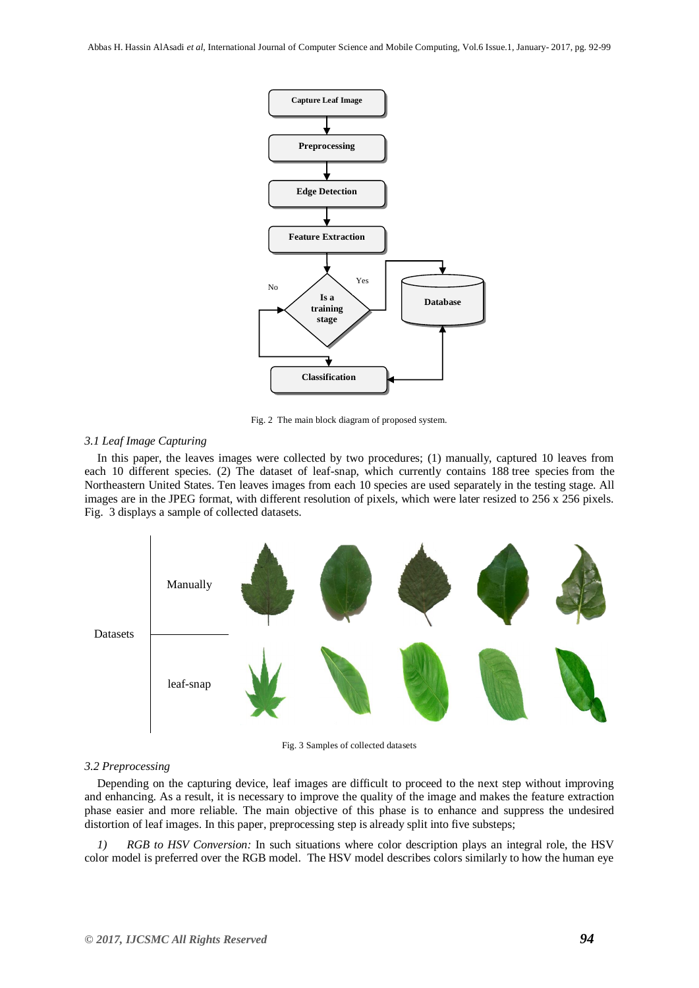

Fig. 2 The main block diagram of proposed system.

## *3.1 Leaf Image Capturing*

In this paper, the leaves images were collected by two procedures; (1) manually, captured 10 leaves from each 10 different species. (2) The dataset of leaf-snap, which currently contains 188 tree species from the Northeastern United States. Ten leaves images from each 10 species are used separately in the testing stage. All images are in the JPEG format, with different resolution of pixels, which were later resized to 256 x 256 pixels. Fig. 3 displays a sample of collected datasets.



Fig. 3 Samples of collected datasets

## *3.2 Preprocessing*

Depending on the capturing device, leaf images are difficult to proceed to the next step without improving and enhancing. As a result, it is necessary to improve the quality of the image and makes the feature extraction phase easier and more reliable. The main objective of this phase is to enhance and suppress the undesired distortion of leaf images. In this paper, preprocessing step is already split into five substeps;

*1) RGB to HSV Conversion:* In such situations where color description plays an integral role, the HSV color model is preferred over the RGB model. The HSV model describes colors similarly to how the human eye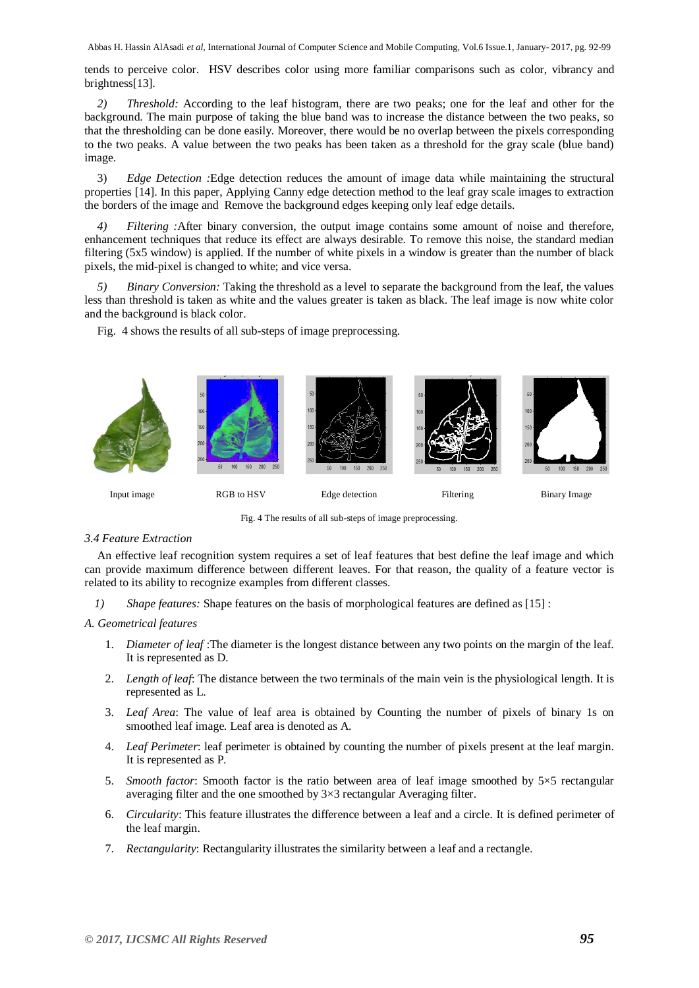Abbas H. Hassin AlAsadi *et al*, International Journal of Computer Science and Mobile Computing, Vol.6 Issue.1, January- 2017, pg. 92-99

tends to perceive color. HSV describes color using more familiar comparisons such as color, vibrancy and brightness[13].

*2) Threshold:* According to the leaf histogram, there are two peaks; one for the leaf and other for the background. The main purpose of taking the blue band was to increase the distance between the two peaks, so that the thresholding can be done easily. Moreover, there would be no overlap between the pixels corresponding to the two peaks. A value between the two peaks has been taken as a threshold for the gray scale (blue band) image.

3) *Edge Detection :*Edge detection reduces the amount of image data while maintaining the structural properties [14]. In this paper, Applying Canny edge detection method to the leaf gray scale images to extraction the borders of the image and Remove the background edges keeping only leaf edge details.

*4) Filtering :*After binary conversion, the output image contains some amount of noise and therefore, enhancement techniques that reduce its effect are always desirable. To remove this noise, the standard median filtering (5x5 window) is applied. If the number of white pixels in a window is greater than the number of black pixels, the mid-pixel is changed to white; and vice versa.

*Binary Conversion:* Taking the threshold as a level to separate the background from the leaf, the values less than threshold is taken as white and the values greater is taken as black. The leaf image is now white color and the background is black color.

Fig. 4 shows the results of all sub-steps of image preprocessing.



Fig. 4 The results of all sub-steps of image preprocessing.

## *3.4 Feature Extraction*

An effective leaf recognition system requires a set of leaf features that best define the leaf image and which can provide maximum difference between different leaves. For that reason, the quality of a feature vector is related to its ability to recognize examples from different classes.

*1) Shape features:* Shape features on the basis of morphological features are defined as [15] :

## *A. Geometrical features*

- 1. *Diameter of leaf* :The diameter is the longest distance between any two points on the margin of the leaf. It is represented as D.
- 2. *Length of leaf*: The distance between the two terminals of the main vein is the physiological length. It is represented as L.
- 3. *Leaf Area*: The value of leaf area is obtained by Counting the number of pixels of binary 1s on smoothed leaf image. Leaf area is denoted as A.
- 4. *Leaf Perimeter*: leaf perimeter is obtained by counting the number of pixels present at the leaf margin. It is represented as P.
- 5. *Smooth factor*: Smooth factor is the ratio between area of leaf image smoothed by 5×5 rectangular averaging filter and the one smoothed by 3×3 rectangular Averaging filter.
- 6. *Circularity*: This feature illustrates the difference between a leaf and a circle. It is defined perimeter of the leaf margin.
- 7. *Rectangularity*: Rectangularity illustrates the similarity between a leaf and a rectangle.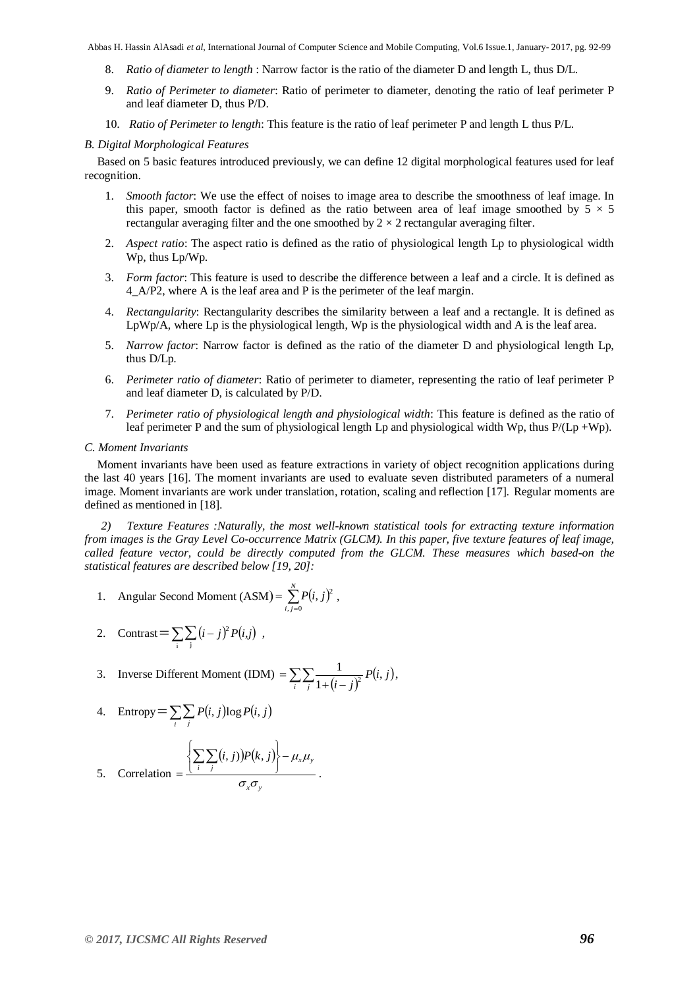Abbas H. Hassin AlAsadi *et al*, International Journal of Computer Science and Mobile Computing, Vol.6 Issue.1, January- 2017, pg. 92-99

- 8. *Ratio of diameter to length* : Narrow factor is the ratio of the diameter D and length L, thus D/L.
- 9. *Ratio of Perimeter to diameter*: Ratio of perimeter to diameter, denoting the ratio of leaf perimeter P and leaf diameter D, thus P/D.
- 10. *Ratio of Perimeter to length*: This feature is the ratio of leaf perimeter P and length L thus P/L.

## *B. Digital Morphological Features*

Based on 5 basic features introduced previously, we can define 12 digital morphological features used for leaf recognition.

- 1. *Smooth factor*: We use the effect of noises to image area to describe the smoothness of leaf image. In this paper, smooth factor is defined as the ratio between area of leaf image smoothed by  $5 \times 5$ rectangular averaging filter and the one smoothed by  $2 \times 2$  rectangular averaging filter.
- 2. *Aspect ratio*: The aspect ratio is defined as the ratio of physiological length Lp to physiological width Wp, thus Lp/Wp.
- 3. *Form factor*: This feature is used to describe the difference between a leaf and a circle. It is defined as 4\_A/P2, where A is the leaf area and P is the perimeter of the leaf margin.
- 4. *Rectangularity*: Rectangularity describes the similarity between a leaf and a rectangle. It is defined as LpWp/A, where Lp is the physiological length, Wp is the physiological width and A is the leaf area.
- 5. *Narrow factor*: Narrow factor is defined as the ratio of the diameter D and physiological length Lp, thus D/Lp.
- 6. *Perimeter ratio of diameter*: Ratio of perimeter to diameter, representing the ratio of leaf perimeter P and leaf diameter D, is calculated by P/D.
- 7. *Perimeter ratio of physiological length and physiological width*: This feature is defined as the ratio of leaf perimeter P and the sum of physiological length Lp and physiological width Wp, thus  $P/(Lp + Wp)$ .

#### *C. Moment Invariants*

Moment invariants have been used as feature extractions in variety of object recognition applications during the last 40 years [16]. The moment invariants are used to evaluate seven distributed parameters of a numeral image. Moment invariants are work under translation, rotation, scaling and reflection [17]. Regular moments are defined as mentioned in [18].

*2) Texture Features :Naturally, the most well-known statistical tools for extracting texture information from images is the Gray Level Co-occurrence Matrix (GLCM). In this paper, five texture features of leaf image, called feature vector, could be directly computed from the GLCM. These measures which based-on the statistical features are described below [19, 20]:*

.

1. Angular Second Moment (ASM) = 
$$
\sum_{i,j=0}^{N} P(i, j)^2
$$
,

2. Contrast = 
$$
\sum_{i} \sum_{j} (i - j)^2 P(i, j)
$$
,

3. Inverse Different Moment (IDM) = 
$$
\sum_{i} \sum_{j} \frac{1}{1 + (i - j)^2} P(i, j),
$$

4. Entropy = 
$$
\sum_{i} \sum_{j} P(i, j) \log P(i, j)
$$

5. Correlation = 
$$
\frac{\left\{\sum_{i} \sum_{j} (i, j)\right\} P(k, j) - \mu_{x} \mu_{y}}{\sigma_{x} \sigma_{y}}
$$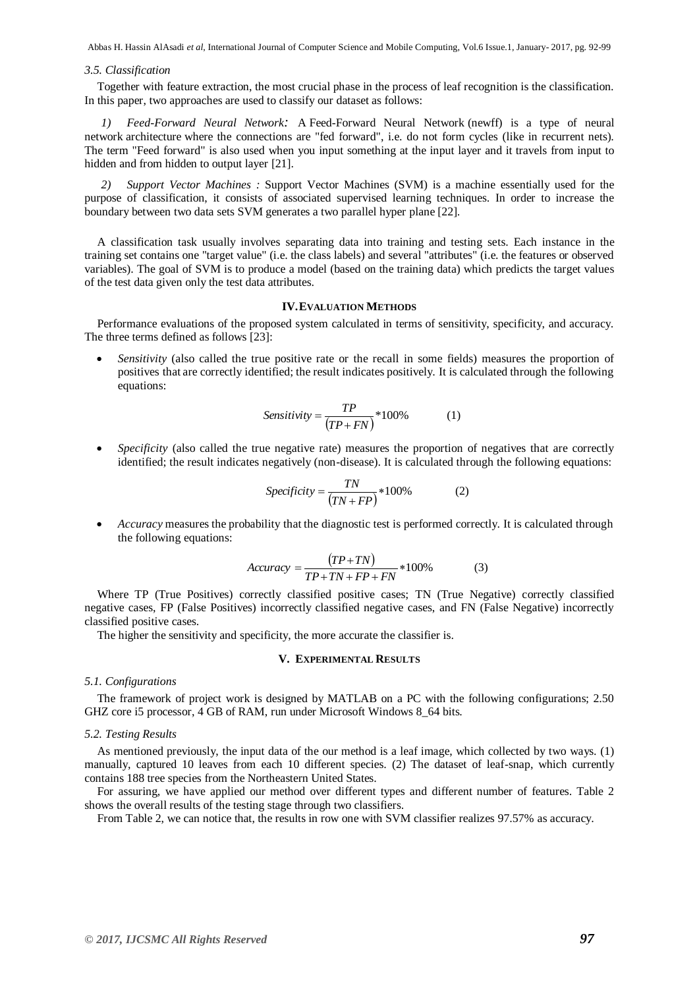Abbas H. Hassin AlAsadi *et al*, International Journal of Computer Science and Mobile Computing, Vol.6 Issue.1, January- 2017, pg. 92-99

#### *3.5. Classification*

Together with feature extraction, the most crucial phase in the process of leaf recognition is the classification. In this paper, two approaches are used to classify our dataset as follows:

*1) Feed-Forward Neural Network:* A [Feed-Forward Neural Network](http://en.wikipedia.org/wiki/Feedforward_neural_network) (newff) is a type of neural network architecture where the connections are "fed forward", i.e. do not form cycles (like in recurrent nets). The term "Feed forward" is also used when you input something at the input layer and it travels from input to hidden and from hidden to output layer [21].

*2) Support Vector Machines :* Support Vector Machines (SVM) is a machine essentially used for the purpose of classification, it consists of associated supervised learning techniques. In order to increase the boundary between two data sets SVM generates a two parallel hyper plane [22].

A classification task usually involves separating data into training and testing sets. Each instance in the training set contains one "target value" (i.e. the class labels) and several "attributes" (i.e. the features or observed variables). The goal of SVM is to produce a model (based on the training data) which predicts the target values of the test data given only the test data attributes.

## **IV.EVALUATION METHODS**

Performance evaluations of the proposed system calculated in terms of sensitivity, specificity, and accuracy. The three terms defined as follows [23]:

 *Sensitivity* (also called the true positive rate or the recall in some fields) measures the proportion of positives that are correctly identified; the result indicates positively. It is calculated through the following equations:

$$
Sensitivity = \frac{TP}{(TP + FN)} * 100\%
$$
 (1)

*Specificity* (also called the true negative rate) measures the proportion of negatives that are correctly identified; the result indicates negatively (non-disease). It is calculated through the following equations:

$$
Specificity = \frac{TN}{(TN + FP)} * 100\%
$$
 (2)

 *Accuracy* measures the probability that the diagnostic test is performed correctly. It is calculated through the following equations:

$$
Accuracy = \frac{(TP + TN)}{TP + TN + FP + FN} * 100\% \tag{3}
$$

Where TP (True Positives) correctly classified positive cases; TN (True Negative) correctly classified negative cases, FP (False Positives) incorrectly classified negative cases, and FN (False Negative) incorrectly classified positive cases.

The higher the sensitivity and specificity, the more accurate the classifier is.

## **V. EXPERIMENTAL RESULTS**

## *5.1. Configurations*

The framework of project work is designed by MATLAB on a PC with the following configurations; 2.50 GHZ core i5 processor, 4 GB of RAM, run under Microsoft Windows 8\_64 bits.

#### *5.2. Testing Results*

As mentioned previously, the input data of the our method is a leaf image, which collected by two ways. (1) manually, captured 10 leaves from each 10 different species. (2) The dataset of leaf-snap, which currently contains 188 tree species from the Northeastern United States.

For assuring, we have applied our method over different types and different number of features. Table 2 shows the overall results of the testing stage through two classifiers.

From Table 2, we can notice that, the results in row one with SVM classifier realizes 97.57% as accuracy.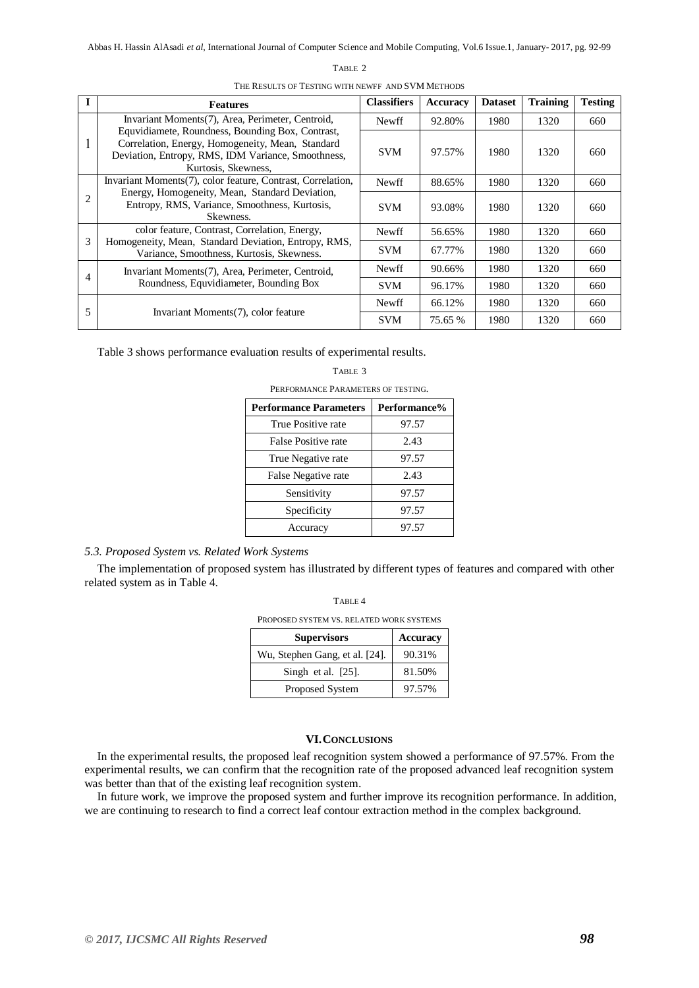#### TABLE 2

|              | <b>Features</b>                                                                                                                                                                   | <b>Classifiers</b> | Accuracy | <b>Dataset</b> | <b>Training</b> | <b>Testing</b> |  |  |  |
|--------------|-----------------------------------------------------------------------------------------------------------------------------------------------------------------------------------|--------------------|----------|----------------|-----------------|----------------|--|--|--|
| $\mathbf{I}$ | Invariant Moments (7), Area, Perimeter, Centroid,                                                                                                                                 | <b>Newff</b>       | 92.80%   | 1980           | 1320            | 660            |  |  |  |
|              | Equvidiamete, Roundness, Bounding Box, Contrast,<br>Correlation, Energy, Homogeneity, Mean, Standard<br>Deviation, Entropy, RMS, IDM Variance, Smoothness,<br>Kurtosis, Skewness, | <b>SVM</b>         | 97.57%   | 1980           | 1320            | 660            |  |  |  |
| 2            | Invariant Moments (7), color feature, Contrast, Correlation,                                                                                                                      | <b>Newff</b>       | 88.65%   | 1980           | 1320            | 660            |  |  |  |
|              | Energy, Homogeneity, Mean, Standard Deviation,<br>Entropy, RMS, Variance, Smoothness, Kurtosis,<br>Skewness.                                                                      | <b>SVM</b>         | 93.08%   | 1980           | 1320            | 660            |  |  |  |
| 3            | color feature, Contrast, Correlation, Energy,                                                                                                                                     | <b>Newff</b>       | 56.65%   | 1980           | 1320            | 660            |  |  |  |
|              | Homogeneity, Mean, Standard Deviation, Entropy, RMS,<br>Variance, Smoothness, Kurtosis, Skewness.                                                                                 | <b>SVM</b>         | 67.77%   | 1980           | 1320            | 660            |  |  |  |
| 4            | Invariant Moments (7), Area, Perimeter, Centroid,<br>Roundness, Equvidiameter, Bounding Box                                                                                       | <b>Newff</b>       | 90.66%   | 1980           | 1320            | 660            |  |  |  |
|              |                                                                                                                                                                                   | <b>SVM</b>         | 96.17%   | 1980           | 1320            | 660            |  |  |  |
| 5            | Invariant Moments (7), color feature                                                                                                                                              | Newff              | 66.12%   | 1980           | 1320            | 660            |  |  |  |
|              |                                                                                                                                                                                   | <b>SVM</b>         | 75.65 %  | 1980           | 1320            | 660            |  |  |  |

THE RESULTS OF TESTING WITH NEWFF AND SVM METHODS

Table 3 shows performance evaluation results of experimental results.

#### TABLE 3

PERFORMANCE PARAMETERS OF TESTING.

| Performance% |  |  |  |
|--------------|--|--|--|
| 97.57        |  |  |  |
| 2.43         |  |  |  |
| 97.57        |  |  |  |
| 2.43         |  |  |  |
| 97.57        |  |  |  |
| 97.57        |  |  |  |
| 97.57        |  |  |  |
|              |  |  |  |

## *5.3. Proposed System vs. Related Work Systems*

The implementation of proposed system has illustrated by different types of features and compared with other related system as in Table 4.

| TABLE 4                                  |
|------------------------------------------|
| PROPOSED SYSTEM VS. RELATED WORK SYSTEMS |

| <b>Supervisors</b>             | <b>Accuracy</b> |  |  |
|--------------------------------|-----------------|--|--|
| Wu, Stephen Gang, et al. [24]. | 90.31%          |  |  |
| Singh et al. $[25]$ .          | 81.50%          |  |  |
| Proposed System                | 97.57%          |  |  |

## **VI.CONCLUSIONS**

In the experimental results, the proposed leaf recognition system showed a performance of 97.57%. From the experimental results, we can confirm that the recognition rate of the proposed advanced leaf recognition system was better than that of the existing leaf recognition system.

In future work, we improve the proposed system and further improve its recognition performance. In addition, we are continuing to research to find a correct leaf contour extraction method in the complex background.